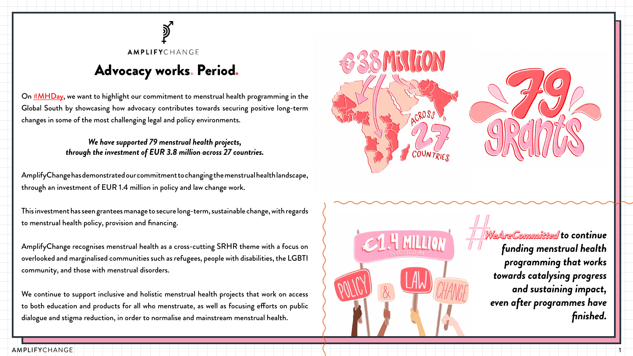

#### AMPLIFYCHANGE

# Advocacy works. Period.

On  $\sharp$ MHDay, we want to highlight our commitment to menstrual health programming in the Global South by showcasing how advocacy contributes towards securing positive long-term changes in some of the most challenging legal and policy environments.

### *We have supported 79 menstrual health projects, through the investment of EUR 3.8 million across 27 countries.*

AmplifyChange has demonstrated our commitment to changing the menstrual health landscape, through an investment of EUR 1.4 million in policy and law change work.



This investment has seen grantees manage to secure long-term, sustainable change, with regards to menstrual health policy, provision and financing.

AmplifyChange recognises menstrual health as a cross-cutting SRHR theme with a focus on overlooked and marginalised communities such as refugees, people with disabilities, the LGBTI community, and those with menstrual disorders.

We continue to support inclusive and holistic menstrual health projects that work on access to both education and products for all who menstruate, as well as focusing efforts on public dialogue and stigma reduction, in order to normalise and mainstream menstrual health.

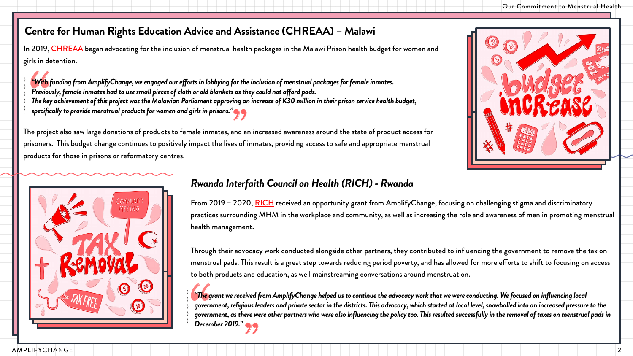

In 2019, [CHREAA](https://chreaa.org/) began advocating for the inclusion of menstrual health packages in the Malawi Prison health budget for women and girls in detention.

*"With funding from AmplifyChange, we engaged our efforts in lobbying for the inclusion of menstrual packages for female inmates. Previously, female inmates had to use small pieces of cloth or old blankets as they could not afford pads. The key achievement of this project was the Malawian Parliament approving an increase of K30 million in their prison service health budget, specifically to provide menstrual products for women and girls in prisons."*

> From 2019 – 2020, [RICH](https://www.rwandainterfaith.org/) received an opportunity grant from AmplifyChange, focusing on challenging stigma and discriminatory practices surrounding MHM in the workplace and community, as well as increasing the role and awareness of men in promoting menstrual health management.

The project also saw large donations of products to female inmates, and an increased awareness around the state of product access for prisoners. This budget change continues to positively impact the lives of inmates, providing access to safe and appropriate menstrual products for those in prisons or reformatory centres.



Through their advocacy work conducted alongside other partners, they contributed to influencing the government to remove the tax on menstrual pads. This result is a great step towards reducing period poverty, and has allowed for more efforts to shift to focusing on access to both products and education, as well mainstreaming conversations around menstruation.

*"The grant we received from AmplifyChange helped us to continue the advocacy work that we were conducting. We focused on influencing local government, religious leaders and private sector in the districts. This advocacy, which started at local level, snowballed into an increased pressure to the government, as there were other partners who were also influencing the policy too. This resulted successfully in the removal of taxes on menstrual pads in December 2019."*

### **Centre for Human Rights Education Advice and Assistance (CHREAA) – Malawi**

# *Rwanda Interfaith Council on Health (RICH) - Rwanda*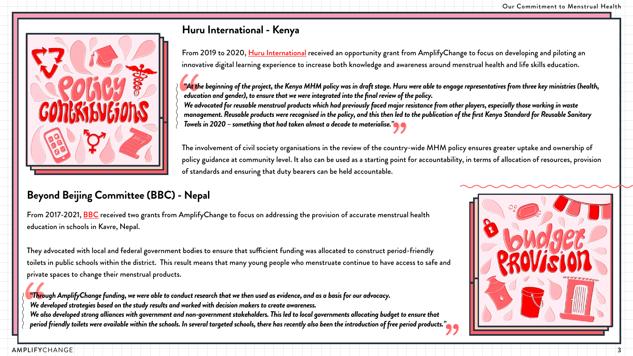



From 2017-2021, [BBC](https://www.beyondbeijing.org/) received two grants from AmplifyChange to focus on addressing the provision of accurate menstrual health education in schools in Kavre, Nepal.

They advocated with local and federal government bodies to ensure that sufficient funding was allocated to construct period-friendly toilets in public schools within the district. This result means that many young people who menstruate continue to have access to safe and private spaces to change their menstrual products.

From 2019 to 2020, [Huru International](https://www.huruinternational.org/) received an opportunity grant from AmplifyChange to focus on developing and piloting an innovative digital learning experience to increase both knowledge and awareness around menstrual health and life skills education.

*"Through AmplifyChange funding, we were able to conduct research that we then used as evidence, and as a basis for our advocacy. We developed strategies based on the study results and worked with decision makers to create awareness. We also developed strong alliances with government and non-government stakeholders. This led to local governments allocating budget to ensure that period friendly toilets were available within the schools. In several targeted schools, there has recently also been the introduction of free period products."*

## **Beyond Beijing Committee (BBC) - Nepal**

*"At the beginning of the project, the Kenya MHM policy was in draft stage. Huru were able to engage representatives from three key ministries (health, education and gender), to ensure that we were integrated into the final review of the policy. We advocated for reusable menstrual products which had previously faced major resistance from other players, especially those working in waste management. Reusable products were recognised in the policy, and this then led to the publication of the first Kenya Standard for Reusable Sanitary Towels in 2020 – something that had taken almost a decade to materialise."*

The involvement of civil society organisations in the review of the country-wide MHM policy ensures greater uptake and ownership of policy guidance at community level. It also can be used as a starting point for accountability, in terms of allocation of resources, provision of standards and ensuring that duty bearers can be held accountable.



## **Huru International - Kenya**